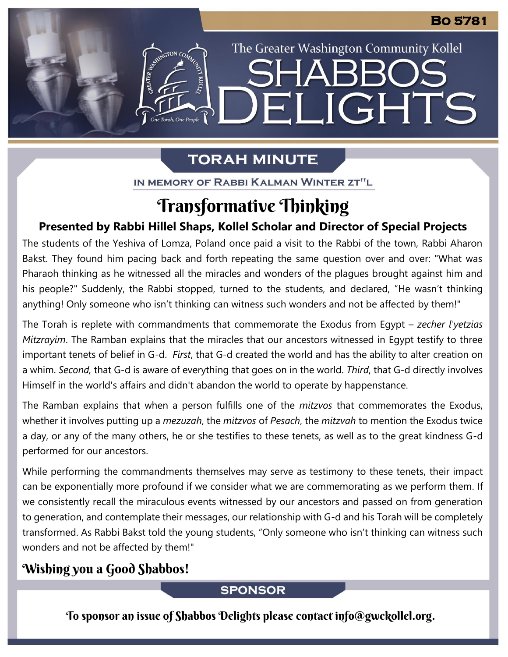# **TORAH MINUTE**

The Greater Washington Community Kollel

ELIGHTS

IN MEMORY OF RABBI KALMAN WINTER ZT"L

# Transformative Thinking

### **Presented by Rabbi Hillel Shaps, Kollel Scholar and Director of Special Projects**

The students of the Yeshiva of Lomza, Poland once paid a visit to the Rabbi of the town, Rabbi Aharon Bakst. They found him pacing back and forth repeating the same question over and over: "What was Pharaoh thinking as he witnessed all the miracles and wonders of the plagues brought against him and his people?" Suddenly, the Rabbi stopped, turned to the students, and declared, "He wasn't thinking anything! Only someone who isn't thinking can witness such wonders and not be affected by them!"

The Torah is replete with commandments that commemorate the Exodus from Egypt – *zecher l'yetzias Mitzrayim*. The Ramban explains that the miracles that our ancestors witnessed in Egypt testify to three important tenets of belief in G-d. *First*, that G-d created the world and has the ability to alter creation on a whim. *Second,* that G-d is aware of everything that goes on in the world. *Third*, that G-d directly involves Himself in the world's affairs and didn't abandon the world to operate by happenstance.

The Ramban explains that when a person fulfills one of the *mitzvos* that commemorates the Exodus, whether it involves putting up a *mezuzah*, the *mitzvos* of *Pesach*, the *mitzvah* to mention the Exodus twice a day, or any of the many others, he or she testifies to these tenets, as well as to the great kindness G-d performed for our ancestors.

While performing the commandments themselves may serve as testimony to these tenets, their impact can be exponentially more profound if we consider what we are commemorating as we perform them. If we consistently recall the miraculous events witnessed by our ancestors and passed on from generation to generation, and contemplate their messages, our relationship with G-d and his Torah will be completely transformed. As Rabbi Bakst told the young students, "Only someone who isn't thinking can witness such wonders and not be affected by them!"

## Wishing you a Good Shabbos!

### **SPONSOR**

To sponsor an issue of Shabbos Delights please contact info@gwckollel.org.